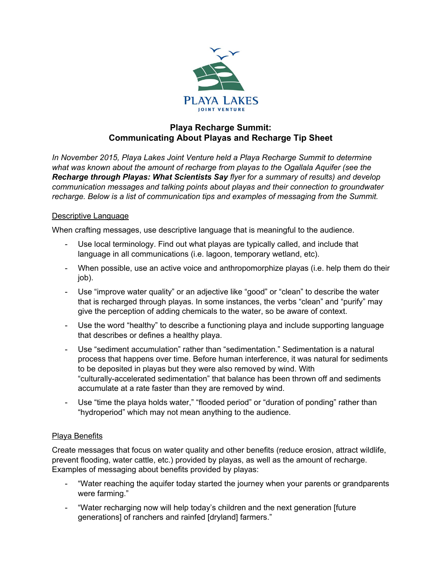

## **Playa Recharge Summit: Communicating About Playas and Recharge Tip Sheet**

*In November 2015, Playa Lakes Joint Venture held a Playa Recharge Summit to determine what was known about the amount of recharge from playas to the Ogallala Aquifer (see the Recharge through Playas: What Scientists Say flyer for a summary of results) and develop communication messages and talking points about playas and their connection to groundwater recharge. Below is a list of communication tips and examples of messaging from the Summit.*

## Descriptive Language

When crafting messages, use descriptive language that is meaningful to the audience.

- Use local terminology. Find out what playas are typically called, and include that language in all communications (i.e. lagoon, temporary wetland, etc).
- When possible, use an active voice and anthropomorphize playas (i.e. help them do their job).
- Use "improve water quality" or an adjective like "good" or "clean" to describe the water that is recharged through playas. In some instances, the verbs "clean" and "purify" may give the perception of adding chemicals to the water, so be aware of context.
- Use the word "healthy" to describe a functioning playa and include supporting language that describes or defines a healthy playa.
- Use "sediment accumulation" rather than "sedimentation." Sedimentation is a natural process that happens over time. Before human interference, it was natural for sediments to be deposited in playas but they were also removed by wind. With "culturally-accelerated sedimentation" that balance has been thrown off and sediments accumulate at a rate faster than they are removed by wind.
- Use "time the playa holds water," "flooded period" or "duration of ponding" rather than "hydroperiod" which may not mean anything to the audience.

## Playa Benefits

Create messages that focus on water quality and other benefits (reduce erosion, attract wildlife, prevent flooding, water cattle, etc.) provided by playas, as well as the amount of recharge. Examples of messaging about benefits provided by playas:

- "Water reaching the aquifer today started the journey when your parents or grandparents were farming."
- "Water recharging now will help today's children and the next generation [future generations] of ranchers and rainfed [dryland] farmers."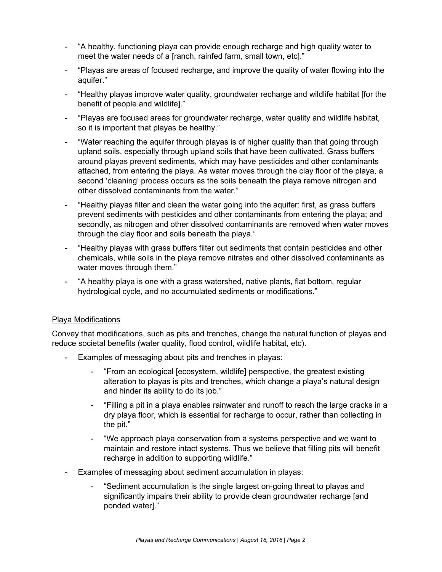- "A healthy, functioning playa can provide enough recharge and high quality water to meet the water needs of a [ranch, rainfed farm, small town, etc]."
- "Playas are areas of focused recharge, and improve the quality of water flowing into the aquifer."
- "Healthy playas improve water quality, groundwater recharge and wildlife habitat [for the benefit of people and wildlife]."
- "Playas are focused areas for groundwater recharge, water quality and wildlife habitat, so it is important that playas be healthy."
- "Water reaching the aquifer through playas is of higher quality than that going through upland soils, especially through upland soils that have been cultivated. Grass buffers around playas prevent sediments, which may have pesticides and other contaminants attached, from entering the playa. As water moves through the clay floor of the playa, a second 'cleaning' process occurs as the soils beneath the playa remove nitrogen and other dissolved contaminants from the water."
- "Healthy playas filter and clean the water going into the aquifer: first, as grass buffers prevent sediments with pesticides and other contaminants from entering the playa; and secondly, as nitrogen and other dissolved contaminants are removed when water moves through the clay floor and soils beneath the playa."
- "Healthy playas with grass buffers filter out sediments that contain pesticides and other chemicals, while soils in the playa remove nitrates and other dissolved contaminants as water moves through them."
- "A healthy playa is one with a grass watershed, native plants, flat bottom, regular hydrological cycle, and no accumulated sediments or modifications."

## Playa Modifications

Convey that modifications, such as pits and trenches, change the natural function of playas and reduce societal benefits (water quality, flood control, wildlife habitat, etc).

- Examples of messaging about pits and trenches in playas:
	- "From an ecological [ecosystem, wildlife] perspective, the greatest existing alteration to playas is pits and trenches, which change a playa's natural design and hinder its ability to do its job."
	- "Filling a pit in a playa enables rainwater and runoff to reach the large cracks in a dry playa floor, which is essential for recharge to occur, rather than collecting in the pit."
	- "We approach playa conservation from a systems perspective and we want to maintain and restore intact systems. Thus we believe that filling pits will benefit recharge in addition to supporting wildlife."
- Examples of messaging about sediment accumulation in playas:
	- "Sediment accumulation is the single largest on-going threat to playas and significantly impairs their ability to provide clean groundwater recharge [and ponded water]."